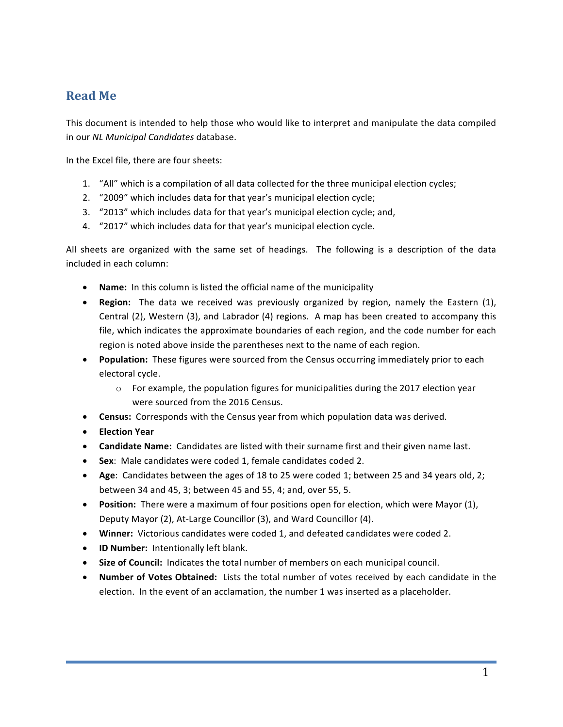## **Read Me**

This document is intended to help those who would like to interpret and manipulate the data compiled in our *NL Municipal Candidates* database.

In the Excel file, there are four sheets:

- 1. "All" which is a compilation of all data collected for the three municipal election cycles;
- 2. "2009" which includes data for that year's municipal election cycle;
- 3. "2013" which includes data for that year's municipal election cycle; and,
- 4. "2017" which includes data for that year's municipal election cycle.

All sheets are organized with the same set of headings. The following is a description of the data included in each column:

- Name: In this column is listed the official name of the municipality
- **Region:** The data we received was previously organized by region, namely the Eastern (1), Central  $(2)$ , Western  $(3)$ , and Labrador  $(4)$  regions. A map has been created to accompany this file, which indicates the approximate boundaries of each region, and the code number for each region is noted above inside the parentheses next to the name of each region.
- **Population:** These figures were sourced from the Census occurring immediately prior to each electoral cycle.
	- $\circ$  For example, the population figures for municipalities during the 2017 election year were sourced from the 2016 Census.
- **Census:** Corresponds with the Census year from which population data was derived.
- **Election Year**
- **Candidate Name:** Candidates are listed with their surname first and their given name last.
- Sex: Male candidates were coded 1, female candidates coded 2.
- Age: Candidates between the ages of 18 to 25 were coded 1; between 25 and 34 years old, 2; between 34 and 45, 3; between 45 and 55, 4; and, over 55, 5.
- **Position:** There were a maximum of four positions open for election, which were Mayor (1), Deputy Mayor (2), At-Large Councillor (3), and Ward Councillor (4).
- Winner: Victorious candidates were coded 1, and defeated candidates were coded 2.
- **ID Number:** Intentionally left blank.
- Size of Council: Indicates the total number of members on each municipal council.
- Number of Votes Obtained: Lists the total number of votes received by each candidate in the election. In the event of an acclamation, the number 1 was inserted as a placeholder.